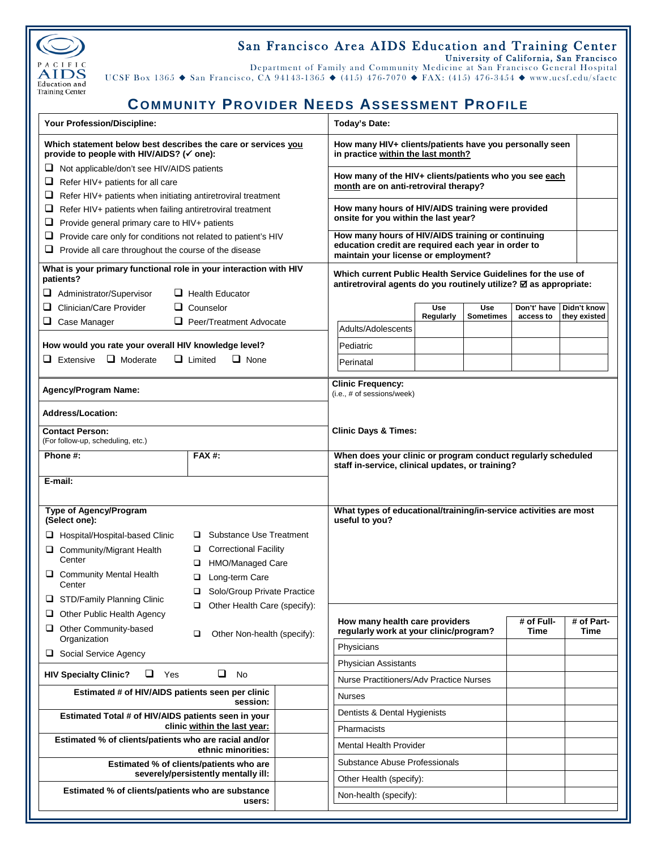

## San Francisco Area AIDS Education and Training Center University of California, San Francisco

Department of Family and Community Medicine at San Francisco General Hospital UCSF Box 1365  $\blacklozenge$  San Francisco, CA 94143-1365  $\blacklozenge$  (415) 476-7070  $\blacklozenge$  FAX: (415) 476-3454  $\blacklozenge$  www.ucsf.edu/sfaetc

## **COMMUNITY PROVIDER NEEDS ASSESSMENT PROFILE**

| Your Profession/Discipline:                                                                                                                                   | <b>Today's Date:</b>                                                                                                                             |  |  |  |  |  |
|---------------------------------------------------------------------------------------------------------------------------------------------------------------|--------------------------------------------------------------------------------------------------------------------------------------------------|--|--|--|--|--|
| Which statement below best describes the care or services you<br>provide to people with HIV/AIDS? (√ one):                                                    | How many HIV+ clients/patients have you personally seen<br>in practice within the last month?                                                    |  |  |  |  |  |
| Not applicable/don't see HIV/AIDS patients<br>⊔<br>Refer HIV+ patients for all care<br>⊔<br>⊔<br>Refer HIV+ patients when initiating antiretroviral treatment | How many of the HIV+ clients/patients who you see each<br>month are on anti-retroviral therapy?                                                  |  |  |  |  |  |
| ⊔<br>Refer HIV+ patients when failing antiretroviral treatment<br>⊔<br>Provide general primary care to HIV+ patients                                          | How many hours of HIV/AIDS training were provided<br>onsite for you within the last year?                                                        |  |  |  |  |  |
| Provide care only for conditions not related to patient's HIV<br>⊔<br>Provide all care throughout the course of the disease                                   | How many hours of HIV/AIDS training or continuing<br>education credit are required each year in order to<br>maintain your license or employment? |  |  |  |  |  |
| What is your primary functional role in your interaction with HIV<br>patients?<br>Administrator/Supervisor<br>$\Box$ Health Educator                          | Which current Public Health Service Guidelines for the use of<br>antiretroviral agents do you routinely utilize? Ø as appropriate:               |  |  |  |  |  |
| ⊔<br>Clinician/Care Provider<br>$\Box$ Counselor                                                                                                              | Don't' have<br><b>Use</b><br><b>Use</b><br>Didn't know                                                                                           |  |  |  |  |  |
| $\Box$ Case Manager<br>$\Box$ Peer/Treatment Advocate                                                                                                         | Regularly<br><b>Sometimes</b><br>they existed<br>access to                                                                                       |  |  |  |  |  |
|                                                                                                                                                               | Adults/Adolescents                                                                                                                               |  |  |  |  |  |
| How would you rate your overall HIV knowledge level?                                                                                                          | Pediatric                                                                                                                                        |  |  |  |  |  |
| $\Box$ Moderate<br>$\Box$ Extensive<br>$\Box$ Limited<br>$\Box$ None                                                                                          | Perinatal                                                                                                                                        |  |  |  |  |  |
| <b>Agency/Program Name:</b>                                                                                                                                   | <b>Clinic Frequency:</b><br>(i.e., # of sessions/week)                                                                                           |  |  |  |  |  |
| <b>Address/Location:</b>                                                                                                                                      |                                                                                                                                                  |  |  |  |  |  |
| <b>Contact Person:</b><br>(For follow-up, scheduling, etc.)                                                                                                   | <b>Clinic Days &amp; Times:</b>                                                                                                                  |  |  |  |  |  |
| Phone #:<br><b>FAX#:</b>                                                                                                                                      | When does your clinic or program conduct regularly scheduled<br>staff in-service, clinical updates, or training?                                 |  |  |  |  |  |
| E-mail:                                                                                                                                                       |                                                                                                                                                  |  |  |  |  |  |
| Type of Agency/Program<br>(Select one):                                                                                                                       | What types of educational/training/in-service activities are most<br>useful to you?                                                              |  |  |  |  |  |
| Substance Use Treatment<br>Hospital/Hospital-based Clinic<br>□                                                                                                |                                                                                                                                                  |  |  |  |  |  |
| <b>Correctional Facility</b><br>□<br>Community/Migrant Health<br>Center<br>HMO/Managed Care<br>□                                                              |                                                                                                                                                  |  |  |  |  |  |
| Community Mental Health<br>Long-term Care<br>□<br>Center                                                                                                      |                                                                                                                                                  |  |  |  |  |  |
| $\Box$<br>Solo/Group Private Practice<br>STD/Family Planning Clinic                                                                                           |                                                                                                                                                  |  |  |  |  |  |
| Other Health Care (specify):<br>Other Public Health Agency                                                                                                    |                                                                                                                                                  |  |  |  |  |  |
| Other Community-based<br>⊔<br>□<br>Other Non-health (specify):<br>Organization                                                                                | # of Full-<br># of Part-<br>How many health care providers<br>regularly work at your clinic/program?<br>Time<br>Time                             |  |  |  |  |  |
| Social Service Agency                                                                                                                                         | Physicians                                                                                                                                       |  |  |  |  |  |
| ❏<br>u<br>Yes<br><b>No</b><br><b>HIV Specialty Clinic?</b>                                                                                                    | <b>Physician Assistants</b>                                                                                                                      |  |  |  |  |  |
|                                                                                                                                                               | <b>Nurse Practitioners/Adv Practice Nurses</b>                                                                                                   |  |  |  |  |  |
| Estimated # of HIV/AIDS patients seen per clinic<br>session:                                                                                                  | <b>Nurses</b>                                                                                                                                    |  |  |  |  |  |
| Estimated Total # of HIV/AIDS patients seen in your<br>clinic within the last year:                                                                           | Dentists & Dental Hygienists                                                                                                                     |  |  |  |  |  |
| Estimated % of clients/patients who are racial and/or<br>ethnic minorities:                                                                                   | Pharmacists<br><b>Mental Health Provider</b>                                                                                                     |  |  |  |  |  |
| Estimated % of clients/patients who are                                                                                                                       | Substance Abuse Professionals                                                                                                                    |  |  |  |  |  |
| severely/persistently mentally ill:                                                                                                                           | Other Health (specify):                                                                                                                          |  |  |  |  |  |
| Estimated % of clients/patients who are substance<br>users:                                                                                                   | Non-health (specify):                                                                                                                            |  |  |  |  |  |